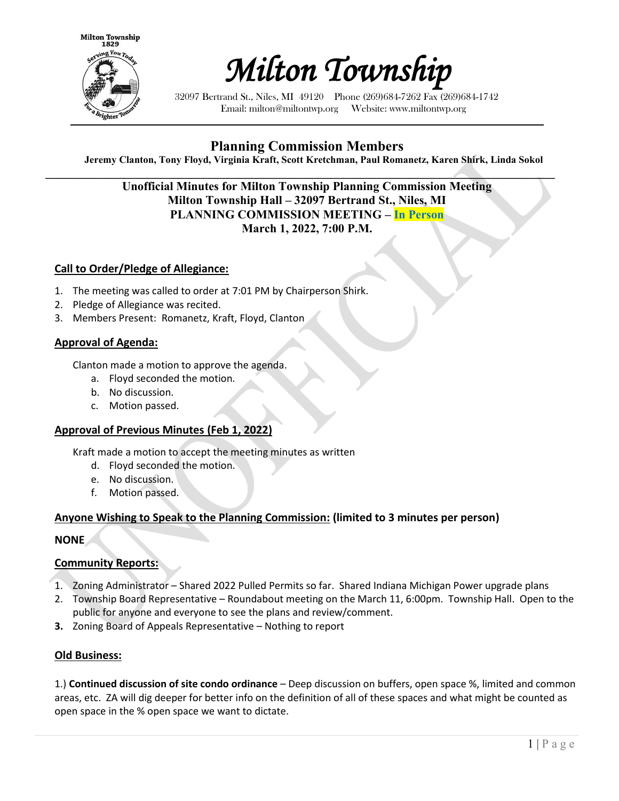



32097 Bertrand St., Niles, MI 49120 Phone (269)684-7262 Fax (269)684-1742 Email: milton@miltontwp.org Website: www.miltontwp.org

# **Planning Commission Members**

**Jeremy Clanton, Tony Floyd, Virginia Kraft, Scott Kretchman, Paul Romanetz, Karen Shirk, Linda Sokol**

 $\mathcal{L} = \{ \mathcal{L} \mathcal{L} \mathcal{L} \mathcal{L} \mathcal{L} \mathcal{L} \mathcal{L} \mathcal{L} \mathcal{L} \mathcal{L} \mathcal{L} \mathcal{L} \mathcal{L} \mathcal{L} \mathcal{L} \mathcal{L} \mathcal{L} \mathcal{L} \mathcal{L} \mathcal{L} \mathcal{L} \mathcal{L} \mathcal{L} \mathcal{L} \mathcal{L} \mathcal{L} \mathcal{L} \mathcal{L} \mathcal{L} \mathcal{L} \mathcal{L} \mathcal{L} \mathcal{L} \mathcal{L} \mathcal{L} \$ **Unofficial Minutes for Milton Township Planning Commission Meeting Milton Township Hall – 32097 Bertrand St., Niles, MI PLANNING COMMISSION MEETING – In Person March 1, 2022, 7:00 P.M.** 

### **Call to Order/Pledge of Allegiance:**

- 1. The meeting was called to order at 7:01 PM by Chairperson Shirk.
- 2. Pledge of Allegiance was recited.
- 3. Members Present: Romanetz, Kraft, Floyd, Clanton

#### **Approval of Agenda:**

Clanton made a motion to approve the agenda.

- a. Floyd seconded the motion.
- b. No discussion.
- c. Motion passed.

#### **Approval of Previous Minutes (Feb 1, 2022)**

Kraft made a motion to accept the meeting minutes as written

- d. Floyd seconded the motion.
- e. No discussion.
- f. Motion passed.

### **Anyone Wishing to Speak to the Planning Commission: (limited to 3 minutes per person)**

**NONE**

# **Community Reports:**

- 1. Zoning Administrator Shared 2022 Pulled Permits so far. Shared Indiana Michigan Power upgrade plans
- 2. Township Board Representative Roundabout meeting on the March 11, 6:00pm. Township Hall. Open to the public for anyone and everyone to see the plans and review/comment.
- **3.** Zoning Board of Appeals Representative Nothing to report

# **Old Business:**

1.) **Continued discussion of site condo ordinance** – Deep discussion on buffers, open space %, limited and common areas, etc. ZA will dig deeper for better info on the definition of all of these spaces and what might be counted as open space in the % open space we want to dictate.